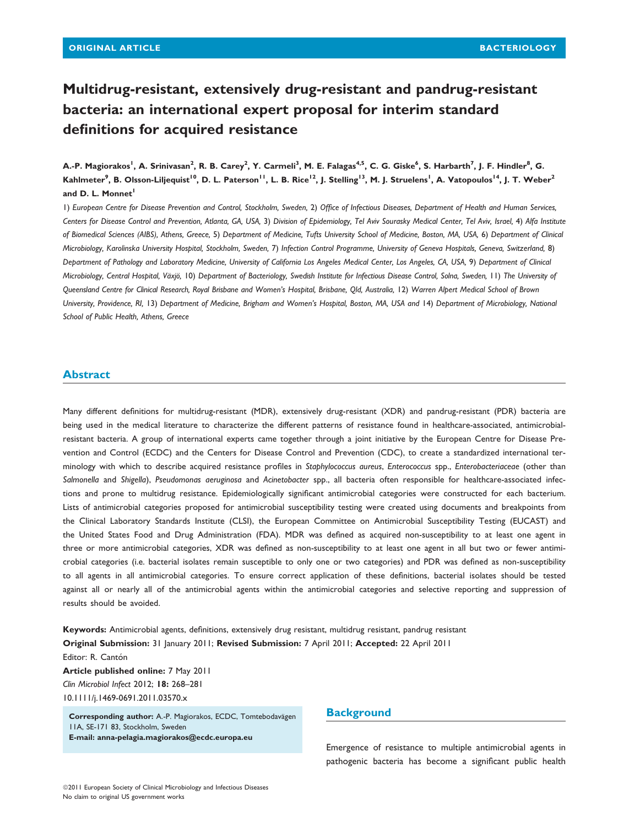# Multidrug-resistant, extensively drug-resistant and pandrug-resistant bacteria: an international expert proposal for interim standard definitions for acquired resistance

A.-P. Magiorakos<sup>I</sup>, A. Srinivasan<sup>2</sup>, R. B. Carey<sup>2</sup>, Y. Carmeli<sup>3</sup>, M. E. Falagas<sup>4,5</sup>, C. G. Giske<sup>6</sup>, S. Harbarth<sup>7</sup>, J. F. Hindler<sup>8</sup>, G. Kahlmeter<sup>9</sup>, B. Olsson-Liljequist<sup>10</sup>, D. L. Paterson<sup>11</sup>, L. B. Rice<sup>12</sup>, J. Stelling<sup>13</sup>, M. J. Struelens<sup>1</sup>, A. Vatopoulos<sup>14</sup>, J. T. Weber<sup>2</sup> and D. L. Monnet<sup>1</sup>

1) European Centre for Disease Prevention and Control, Stockholm, Sweden, 2) Office of Infectious Diseases, Department of Health and Human Services, Centers for Disease Control and Prevention, Atlanta, GA, USA, 3) Division of Epidemiology, Tel Aviv Sourasky Medical Center, Tel Aviv, Israel, 4) Alfa Institute of Biomedical Sciences (AIBS), Athens, Greece, 5) Department of Medicine, Tufts University School of Medicine, Boston, MA, USA, 6) Department of Clinical Microbiology, Karolinska University Hospital, Stockholm, Sweden, 7) Infection Control Programme, University of Geneva Hospitals, Geneva, Switzerland, 8) Department of Pathology and Laboratory Medicine, University of California Los Angeles Medical Center, Los Angeles, CA, USA, 9) Department of Clinical Microbiology, Central Hospital, Växjö, 10) Department of Bacteriology, Swedish Institute for Infectious Disease Control, Solna, Sweden, 11) The University of Queensland Centre for Clinical Research, Royal Brisbane and Women's Hospital, Brisbane, Qld, Australia, 12) Warren Alpert Medical School of Brown University, Providence, RI, 13) Department of Medicine, Brigham and Women's Hospital, Boston, MA, USA and 14) Department of Microbiology, National School of Public Health, Athens, Greece

# Abstract

Many different definitions for multidrug-resistant (MDR), extensively drug-resistant (XDR) and pandrug-resistant (PDR) bacteria are being used in the medical literature to characterize the different patterns of resistance found in healthcare-associated, antimicrobialresistant bacteria. A group of international experts came together through a joint initiative by the European Centre for Disease Prevention and Control (ECDC) and the Centers for Disease Control and Prevention (CDC), to create a standardized international terminology with which to describe acquired resistance profiles in Staphylococcus aureus, Enterococcus spp., Enterobacteriaceae (other than Salmonella and Shigella), Pseudomonas aeruginosa and Acinetobacter spp., all bacteria often responsible for healthcare-associated infections and prone to multidrug resistance. Epidemiologically significant antimicrobial categories were constructed for each bacterium. Lists of antimicrobial categories proposed for antimicrobial susceptibility testing were created using documents and breakpoints from the Clinical Laboratory Standards Institute (CLSI), the European Committee on Antimicrobial Susceptibility Testing (EUCAST) and the United States Food and Drug Administration (FDA). MDR was defined as acquired non-susceptibility to at least one agent in three or more antimicrobial categories, XDR was defined as non-susceptibility to at least one agent in all but two or fewer antimicrobial categories (i.e. bacterial isolates remain susceptible to only one or two categories) and PDR was defined as non-susceptibility to all agents in all antimicrobial categories. To ensure correct application of these definitions, bacterial isolates should be tested against all or nearly all of the antimicrobial agents within the antimicrobial categories and selective reporting and suppression of results should be avoided.

Keywords: Antimicrobial agents, definitions, extensively drug resistant, multidrug resistant, pandrug resistant Original Submission: 31 January 2011; Revised Submission: 7 April 2011; Accepted: 22 April 2011 Editor: R. Cantón Article published online: 7 May 2011 Clin Microbiol Infect 2012; 18: 268–281 10.1111/j.1469-0691.2011.03570.x

Corresponding author: A.-P. Magiorakos, ECDC, Tomtebodavägen 11A, SE-171 83, Stockholm, Sweden E-mail: anna-pelagia.magiorakos@ecdc.europa.eu

# **Background**

Emergence of resistance to multiple antimicrobial agents in pathogenic bacteria has become a significant public health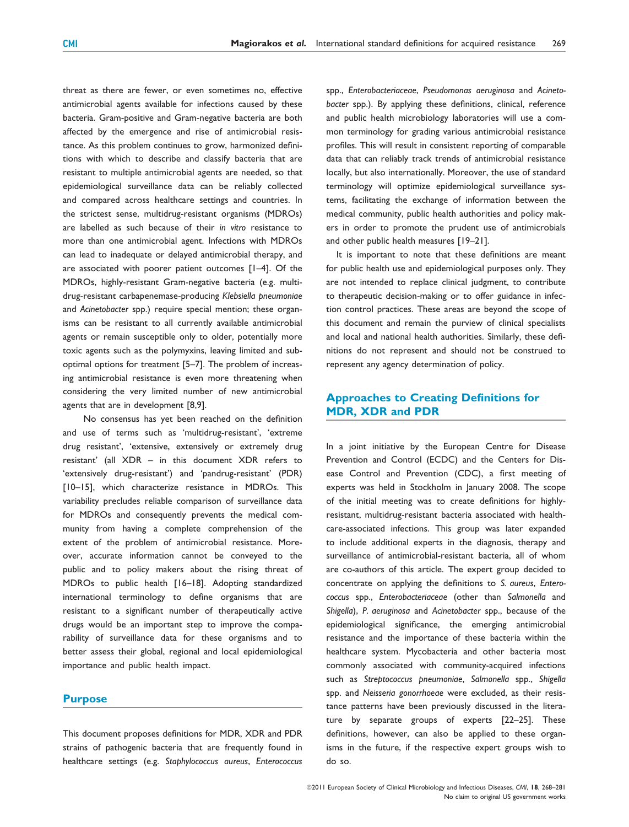threat as there are fewer, or even sometimes no, effective antimicrobial agents available for infections caused by these bacteria. Gram-positive and Gram-negative bacteria are both affected by the emergence and rise of antimicrobial resistance. As this problem continues to grow, harmonized definitions with which to describe and classify bacteria that are resistant to multiple antimicrobial agents are needed, so that epidemiological surveillance data can be reliably collected and compared across healthcare settings and countries. In the strictest sense, multidrug-resistant organisms (MDROs) are labelled as such because of their in vitro resistance to more than one antimicrobial agent. Infections with MDROs can lead to inadequate or delayed antimicrobial therapy, and are associated with poorer patient outcomes [1–4]. Of the MDROs, highly-resistant Gram-negative bacteria (e.g. multidrug-resistant carbapenemase-producing Klebsiella pneumoniae and Acinetobacter spp.) require special mention; these organisms can be resistant to all currently available antimicrobial agents or remain susceptible only to older, potentially more toxic agents such as the polymyxins, leaving limited and suboptimal options for treatment [5–7]. The problem of increasing antimicrobial resistance is even more threatening when considering the very limited number of new antimicrobial agents that are in development [8,9].

No consensus has yet been reached on the definition and use of terms such as 'multidrug-resistant', 'extreme drug resistant', 'extensive, extensively or extremely drug resistant' (all XDR – in this document XDR refers to 'extensively drug-resistant') and 'pandrug-resistant' (PDR) [10–15], which characterize resistance in MDROs. This variability precludes reliable comparison of surveillance data for MDROs and consequently prevents the medical community from having a complete comprehension of the extent of the problem of antimicrobial resistance. Moreover, accurate information cannot be conveyed to the public and to policy makers about the rising threat of MDROs to public health [16–18]. Adopting standardized international terminology to define organisms that are resistant to a significant number of therapeutically active drugs would be an important step to improve the comparability of surveillance data for these organisms and to better assess their global, regional and local epidemiological importance and public health impact.

## Purpose

This document proposes definitions for MDR, XDR and PDR strains of pathogenic bacteria that are frequently found in healthcare settings (e.g. Staphylococcus aureus, Enterococcus

spp., Enterobacteriaceae, Pseudomonas aeruginosa and Acinetobacter spp.). By applying these definitions, clinical, reference and public health microbiology laboratories will use a common terminology for grading various antimicrobial resistance profiles. This will result in consistent reporting of comparable data that can reliably track trends of antimicrobial resistance locally, but also internationally. Moreover, the use of standard terminology will optimize epidemiological surveillance systems, facilitating the exchange of information between the medical community, public health authorities and policy makers in order to promote the prudent use of antimicrobials and other public health measures [19–21].

It is important to note that these definitions are meant for public health use and epidemiological purposes only. They are not intended to replace clinical judgment, to contribute to therapeutic decision-making or to offer guidance in infection control practices. These areas are beyond the scope of this document and remain the purview of clinical specialists and local and national health authorities. Similarly, these definitions do not represent and should not be construed to represent any agency determination of policy.

# Approaches to Creating Definitions for MDR, XDR and PDR

In a joint initiative by the European Centre for Disease Prevention and Control (ECDC) and the Centers for Disease Control and Prevention (CDC), a first meeting of experts was held in Stockholm in January 2008. The scope of the initial meeting was to create definitions for highlyresistant, multidrug-resistant bacteria associated with healthcare-associated infections. This group was later expanded to include additional experts in the diagnosis, therapy and surveillance of antimicrobial-resistant bacteria, all of whom are co-authors of this article. The expert group decided to concentrate on applying the definitions to S. aureus, Enterococcus spp., Enterobacteriaceae (other than Salmonella and Shigella), P. aeruginosa and Acinetobacter spp., because of the epidemiological significance, the emerging antimicrobial resistance and the importance of these bacteria within the healthcare system. Mycobacteria and other bacteria most commonly associated with community-acquired infections such as Streptococcus pneumoniae, Salmonella spp., Shigella spp. and Neisseria gonorrhoeae were excluded, as their resistance patterns have been previously discussed in the literature by separate groups of experts [22–25]. These definitions, however, can also be applied to these organisms in the future, if the respective expert groups wish to do so.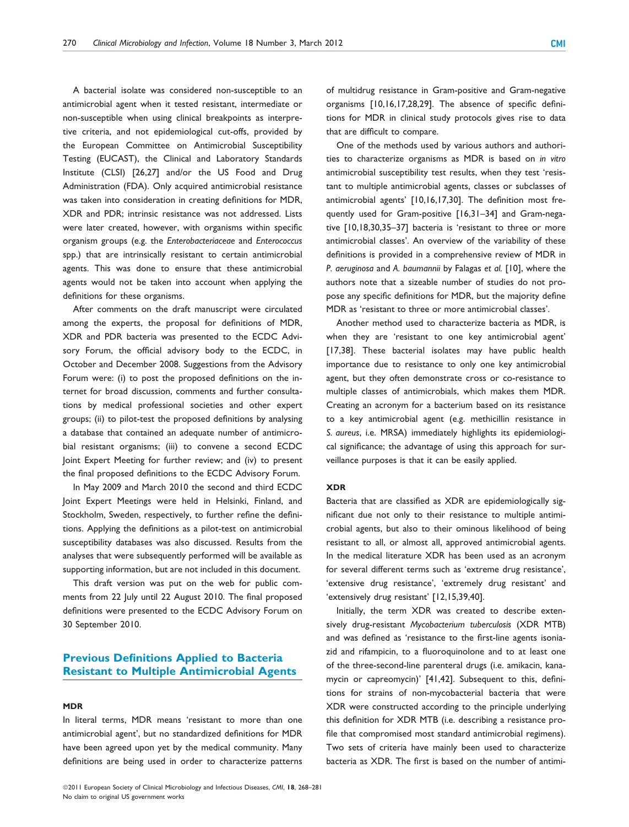A bacterial isolate was considered non-susceptible to an antimicrobial agent when it tested resistant, intermediate or non-susceptible when using clinical breakpoints as interpretive criteria, and not epidemiological cut-offs, provided by the European Committee on Antimicrobial Susceptibility Testing (EUCAST), the Clinical and Laboratory Standards Institute (CLSI) [26,27] and/or the US Food and Drug Administration (FDA). Only acquired antimicrobial resistance was taken into consideration in creating definitions for MDR, XDR and PDR; intrinsic resistance was not addressed. Lists were later created, however, with organisms within specific organism groups (e.g. the Enterobacteriaceae and Enterococcus spp.) that are intrinsically resistant to certain antimicrobial agents. This was done to ensure that these antimicrobial agents would not be taken into account when applying the definitions for these organisms.

After comments on the draft manuscript were circulated among the experts, the proposal for definitions of MDR, XDR and PDR bacteria was presented to the ECDC Advisory Forum, the official advisory body to the ECDC, in October and December 2008. Suggestions from the Advisory Forum were: (i) to post the proposed definitions on the internet for broad discussion, comments and further consultations by medical professional societies and other expert groups; (ii) to pilot-test the proposed definitions by analysing a database that contained an adequate number of antimicrobial resistant organisms; (iii) to convene a second ECDC Joint Expert Meeting for further review; and (iv) to present the final proposed definitions to the ECDC Advisory Forum.

In May 2009 and March 2010 the second and third ECDC Joint Expert Meetings were held in Helsinki, Finland, and Stockholm, Sweden, respectively, to further refine the definitions. Applying the definitions as a pilot-test on antimicrobial susceptibility databases was also discussed. Results from the analyses that were subsequently performed will be available as supporting information, but are not included in this document.

This draft version was put on the web for public comments from 22 July until 22 August 2010. The final proposed definitions were presented to the ECDC Advisory Forum on 30 September 2010.

# Previous Definitions Applied to Bacteria Resistant to Multiple Antimicrobial Agents

## MDR

In literal terms, MDR means 'resistant to more than one antimicrobial agent', but no standardized definitions for MDR have been agreed upon yet by the medical community. Many definitions are being used in order to characterize patterns

of multidrug resistance in Gram-positive and Gram-negative organisms [10,16,17,28,29]. The absence of specific definitions for MDR in clinical study protocols gives rise to data that are difficult to compare.

One of the methods used by various authors and authorities to characterize organisms as MDR is based on in vitro antimicrobial susceptibility test results, when they test 'resistant to multiple antimicrobial agents, classes or subclasses of antimicrobial agents' [10,16,17,30]. The definition most frequently used for Gram-positive [16,31–34] and Gram-negative [10,18,30,35–37] bacteria is 'resistant to three or more antimicrobial classes'. An overview of the variability of these definitions is provided in a comprehensive review of MDR in P. aeruginosa and A. baumannii by Falagas et al. [10], where the authors note that a sizeable number of studies do not propose any specific definitions for MDR, but the majority define MDR as 'resistant to three or more antimicrobial classes'.

Another method used to characterize bacteria as MDR, is when they are 'resistant to one key antimicrobial agent' [17,38]. These bacterial isolates may have public health importance due to resistance to only one key antimicrobial agent, but they often demonstrate cross or co-resistance to multiple classes of antimicrobials, which makes them MDR. Creating an acronym for a bacterium based on its resistance to a key antimicrobial agent (e.g. methicillin resistance in S. aureus, i.e. MRSA) immediately highlights its epidemiological significance; the advantage of using this approach for surveillance purposes is that it can be easily applied.

### XDR

Bacteria that are classified as XDR are epidemiologically significant due not only to their resistance to multiple antimicrobial agents, but also to their ominous likelihood of being resistant to all, or almost all, approved antimicrobial agents. In the medical literature XDR has been used as an acronym for several different terms such as 'extreme drug resistance', 'extensive drug resistance', 'extremely drug resistant' and 'extensively drug resistant' [12,15,39,40].

Initially, the term XDR was created to describe extensively drug-resistant Mycobacterium tuberculosis (XDR MTB) and was defined as 'resistance to the first-line agents isoniazid and rifampicin, to a fluoroquinolone and to at least one of the three-second-line parenteral drugs (i.e. amikacin, kanamycin or capreomycin)' [41,42]. Subsequent to this, definitions for strains of non-mycobacterial bacteria that were XDR were constructed according to the principle underlying this definition for XDR MTB (i.e. describing a resistance profile that compromised most standard antimicrobial regimens). Two sets of criteria have mainly been used to characterize bacteria as XDR. The first is based on the number of antimi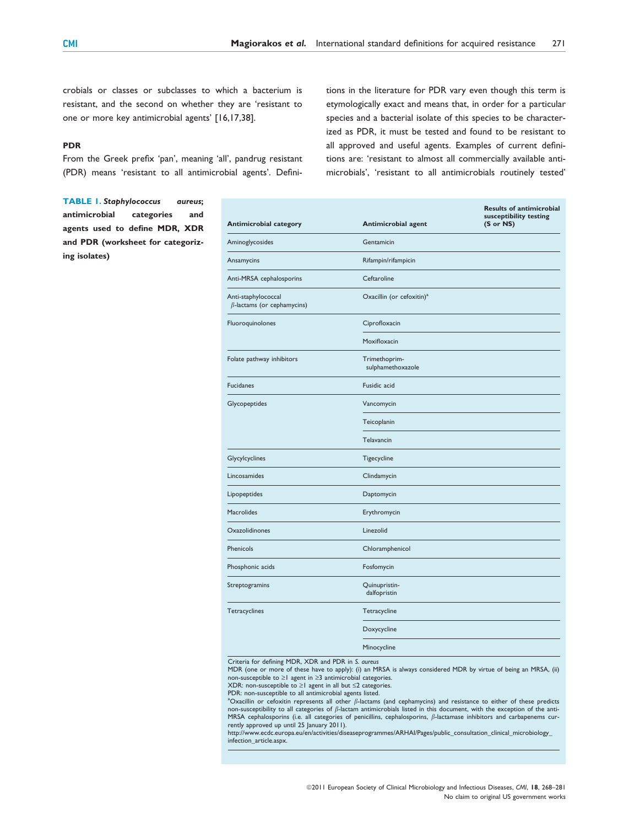crobials or classes or subclasses to which a bacterium is resistant, and the second on whether they are 'resistant to one or more key antimicrobial agents' [16,17,38].

## PDR

From the Greek prefix 'pan', meaning 'all', pandrug resistant (PDR) means 'resistant to all antimicrobial agents'. Defini-

TABLE 1. Staphylococcus aureus; antimicrobial categories and agents used to define MDR, XDR and PDR (worksheet for categorizing isolates)

|                                                          |                                       | <b>Results of antimicrobial</b><br>susceptibility testing |
|----------------------------------------------------------|---------------------------------------|-----------------------------------------------------------|
| <b>Antimicrobial category</b>                            | <b>Antimicrobial agent</b>            | (S or NS)                                                 |
| Aminoglycosides                                          | Gentamicin                            |                                                           |
| Ansamycins                                               | Rifampin/rifampicin                   |                                                           |
| Anti-MRSA cephalosporins                                 | Ceftaroline                           |                                                           |
| Anti-staphylococcal<br>$\beta$ -lactams (or cephamycins) | Oxacillin (or cefoxitin) <sup>a</sup> |                                                           |
| Fluoroquinolones                                         | Ciprofloxacin                         |                                                           |
|                                                          | Moxifloxacin                          |                                                           |
| Folate pathway inhibitors                                | Trimethoprim-<br>sulphamethoxazole    |                                                           |
| <b>Fucidanes</b>                                         | Fusidic acid                          |                                                           |
| Glycopeptides                                            | Vancomycin                            |                                                           |
|                                                          | Teicoplanin                           |                                                           |
|                                                          | Telavancin                            |                                                           |
| Glycylcyclines                                           | Tigecycline                           |                                                           |
| Lincosamides                                             | Clindamycin                           |                                                           |
| Lipopeptides                                             | Daptomycin                            |                                                           |
| Macrolides                                               | Erythromycin                          |                                                           |
| Oxazolidinones                                           | Linezolid                             |                                                           |
| Phenicols                                                | Chloramphenicol                       |                                                           |
| Phosphonic acids                                         | Fosfomycin                            |                                                           |
| Streptogramins                                           | Quinupristin-<br>dalfopristin         |                                                           |
| Tetracyclines                                            | Tetracycline                          |                                                           |
|                                                          | Doxycycline                           |                                                           |
|                                                          | Minocycline                           |                                                           |

Criteria for defining MDR, XDR and PDR in S. aureus

MDR (one or more of these have to apply): (i) an MRSA is always considered MDR by virtue of being an MRSA, (ii) non-susceptible to  $\geq 1$  agent in  $\geq 3$  antimicrobial categories.

XDR: non-susceptible to  $\geq 1$  agent in all but  $\leq 2$  categories.

PDR: non-susceptible to all antimicrobial agents listed.

a Oxacillin or cefoxitin represents all other  $\beta$ -lactams (and cephamycins) and resistance to either of these predicts non-susceptibility to all categories of  $\beta$ -lactam antimicrobials listed in this document, with the exception of the anti-MRSA cephalosporins (i.e. all categories of penicillins, cephalosporins,  $\beta$ -lactamase inhibitors and carbapenems currently approved up until 25 January 2011).

http://www.ecdc.europa.eu/en/activities/diseaseprogrammes/ARHAI/Pages/public\_consultation\_clinical\_microbiology\_ infection\_article.aspx.

tions in the literature for PDR vary even though this term is etymologically exact and means that, in order for a particular species and a bacterial isolate of this species to be characterized as PDR, it must be tested and found to be resistant to all approved and useful agents. Examples of current definitions are: 'resistant to almost all commercially available antimicrobials', 'resistant to all antimicrobials routinely tested'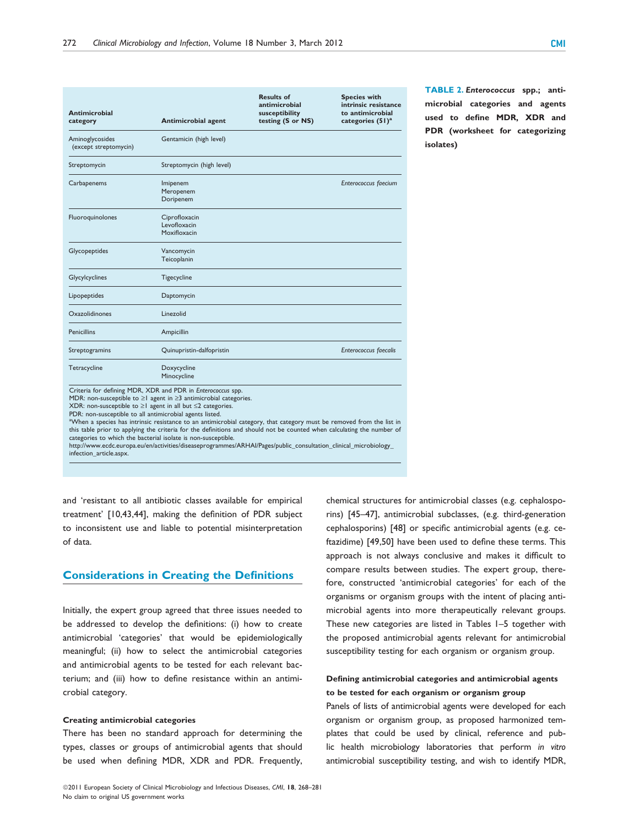| <b>Antimicrobial</b><br>category         | <b>Antimicrobial agent</b>                    | <b>Results of</b><br>antimicrobial<br>susceptibility<br>testing (S or NS) | <b>Species with</b><br>intrinsic resistance<br>to antimicrobial<br>categories $(51)^a$ |
|------------------------------------------|-----------------------------------------------|---------------------------------------------------------------------------|----------------------------------------------------------------------------------------|
| Aminoglycosides<br>(except streptomycin) | Gentamicin (high level)                       |                                                                           |                                                                                        |
| Streptomycin                             | Streptomycin (high level)                     |                                                                           |                                                                                        |
| Carbapenems                              | Imipenem<br>Meropenem<br>Doripenem            |                                                                           | Enterococcus faecium                                                                   |
| Fluoroquinolones                         | Ciprofloxacin<br>Levofloxacin<br>Moxifloxacin |                                                                           |                                                                                        |
| Glycopeptides                            | Vancomycin<br>Teicoplanin                     |                                                                           |                                                                                        |
| Glycylcyclines                           | Tigecycline                                   |                                                                           |                                                                                        |
| Lipopeptides                             | Daptomycin                                    |                                                                           |                                                                                        |
| Oxazolidinones                           | Linezolid                                     |                                                                           |                                                                                        |
| <b>Penicillins</b>                       | Ampicillin                                    |                                                                           |                                                                                        |
| Streptogramins                           | Quinupristin-dalfopristin                     |                                                                           | <b>Enterococcus</b> faecalis                                                           |
| Tetracycline                             | Doxycycline<br>Minocycline                    |                                                                           |                                                                                        |

<sup>a</sup>When a species has intrinsic resistance to an antimicrobial category, that category must be removed from the list in this table prior to applying the criteria for the definitions and should not be counted when calculating the number of

http://www.ecdc.europa.eu/en/activities/diseaseprogrammes/ARHAI/Pages/public\_consultation\_clinical\_microbiology\_

TABLE 2. Enterococcus spp.; antimicrobial categories and agents used to define MDR, XDR and PDR (worksheet for categorizing isolates)

and 'resistant to all antibiotic classes available for empirical treatment' [10,43,44], making the definition of PDR subject to inconsistent use and liable to potential misinterpretation of data.

XDR: non-susceptible to  $\geq 1$  agent in all but  $\leq 2$  categories. PDR: non-susceptible to all antimicrobial agents listed.

categories to which the bacterial isolate is non-susceptible.

infection\_article.aspx.

## Considerations in Creating the Definitions

Initially, the expert group agreed that three issues needed to be addressed to develop the definitions: (i) how to create antimicrobial 'categories' that would be epidemiologically meaningful; (ii) how to select the antimicrobial categories and antimicrobial agents to be tested for each relevant bacterium; and (iii) how to define resistance within an antimicrobial category.

#### Creating antimicrobial categories

There has been no standard approach for determining the types, classes or groups of antimicrobial agents that should be used when defining MDR, XDR and PDR. Frequently,

chemical structures for antimicrobial classes (e.g. cephalosporins) [45–47], antimicrobial subclasses, (e.g. third-generation cephalosporins) [48] or specific antimicrobial agents (e.g. ceftazidime) [49,50] have been used to define these terms. This approach is not always conclusive and makes it difficult to compare results between studies. The expert group, therefore, constructed 'antimicrobial categories' for each of the organisms or organism groups with the intent of placing antimicrobial agents into more therapeutically relevant groups. These new categories are listed in Tables 1–5 together with the proposed antimicrobial agents relevant for antimicrobial susceptibility testing for each organism or organism group.

# Defining antimicrobial categories and antimicrobial agents to be tested for each organism or organism group

Panels of lists of antimicrobial agents were developed for each organism or organism group, as proposed harmonized templates that could be used by clinical, reference and public health microbiology laboratories that perform in vitro antimicrobial susceptibility testing, and wish to identify MDR,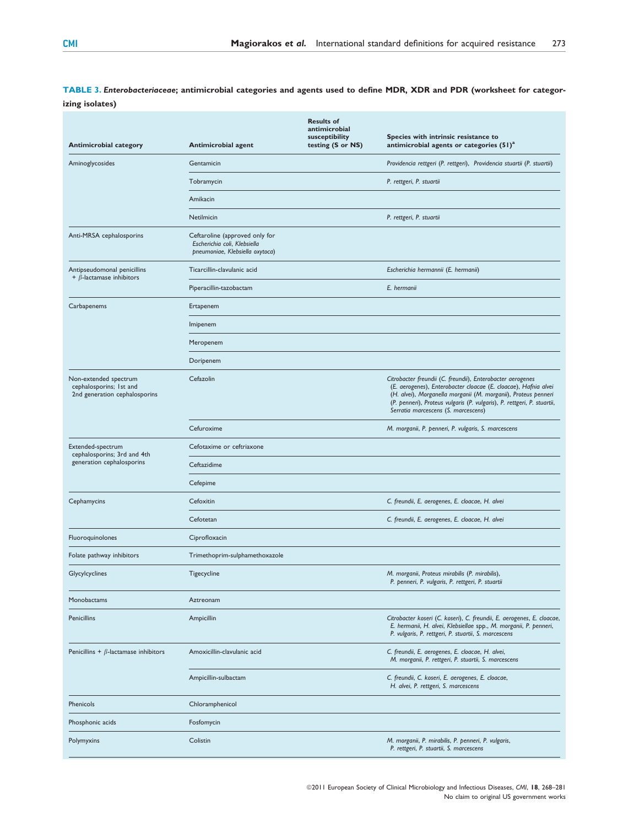| <b>Antimicrobial category</b>                                                     | <b>Antimicrobial agent</b>                                                                        | <b>Results of</b><br>antimicrobial<br>susceptibility<br>testing (S or NS) | Species with intrinsic resistance to<br>antimicrobial agents or categories $(51)^{a}$                                                                                                                                                                                                                             |
|-----------------------------------------------------------------------------------|---------------------------------------------------------------------------------------------------|---------------------------------------------------------------------------|-------------------------------------------------------------------------------------------------------------------------------------------------------------------------------------------------------------------------------------------------------------------------------------------------------------------|
| Aminoglycosides                                                                   | Gentamicin                                                                                        |                                                                           | Providencia rettgeri (P. rettgeri), Providencia stuartii (P. stuartii)                                                                                                                                                                                                                                            |
|                                                                                   | Tobramycin                                                                                        |                                                                           | P. rettgeri, P. stuartii                                                                                                                                                                                                                                                                                          |
|                                                                                   | Amikacin                                                                                          |                                                                           |                                                                                                                                                                                                                                                                                                                   |
|                                                                                   | Netilmicin                                                                                        |                                                                           | P. rettgeri, P. stuartii                                                                                                                                                                                                                                                                                          |
| Anti-MRSA cephalosporins                                                          | Ceftaroline (approved only for<br>Escherichia coli, Klebsiella<br>pneumoniae, Klebsiella oxytoca) |                                                                           |                                                                                                                                                                                                                                                                                                                   |
| Antipseudomonal penicillins<br>+ $\beta$ -lactamase inhibitors                    | Ticarcillin-clavulanic acid                                                                       |                                                                           | Escherichia hermannii (E. hermanii)                                                                                                                                                                                                                                                                               |
|                                                                                   | Piperacillin-tazobactam                                                                           |                                                                           | E. hermanii                                                                                                                                                                                                                                                                                                       |
| Carbapenems                                                                       | Ertapenem                                                                                         |                                                                           |                                                                                                                                                                                                                                                                                                                   |
|                                                                                   | Imipenem                                                                                          |                                                                           |                                                                                                                                                                                                                                                                                                                   |
|                                                                                   | Meropenem                                                                                         |                                                                           |                                                                                                                                                                                                                                                                                                                   |
|                                                                                   | Doripenem                                                                                         |                                                                           |                                                                                                                                                                                                                                                                                                                   |
| Non-extended spectrum<br>cephalosporins; 1st and<br>2nd generation cephalosporins | Cefazolin                                                                                         |                                                                           | Citrobacter freundii (C. freundii), Enterobacter aerogenes<br>(E. aerogenes), Enterobacter cloacae (E. cloacae), Hafnia alvei<br>(H. alvei), Morganella morganii (M. morganii), Proteus penneri<br>(P. penneri), Proteus vulgaris (P. vulgaris), P. rettgeri, P. stuartii,<br>Serratia marcescens (S. marcescens) |
|                                                                                   | Cefuroxime                                                                                        |                                                                           | M. morganii, P. penneri, P. vulgaris, S. marcescens                                                                                                                                                                                                                                                               |
| Extended-spectrum<br>cephalosporins; 3rd and 4th                                  | Cefotaxime or ceftriaxone                                                                         |                                                                           |                                                                                                                                                                                                                                                                                                                   |
| generation cephalosporins                                                         | Ceftazidime                                                                                       |                                                                           |                                                                                                                                                                                                                                                                                                                   |
|                                                                                   | Cefepime                                                                                          |                                                                           |                                                                                                                                                                                                                                                                                                                   |
| Cephamycins                                                                       | Cefoxitin                                                                                         |                                                                           | C. freundii, E. aerogenes, E. cloacae, H. alvei                                                                                                                                                                                                                                                                   |
|                                                                                   | Cefotetan                                                                                         |                                                                           | C. freundii, E. aerogenes, E. cloacae, H. alvei                                                                                                                                                                                                                                                                   |
| Fluoroquinolones                                                                  | Ciprofloxacin                                                                                     |                                                                           |                                                                                                                                                                                                                                                                                                                   |
| Folate pathway inhibitors                                                         | Trimethoprim-sulphamethoxazole                                                                    |                                                                           |                                                                                                                                                                                                                                                                                                                   |
| Glycylcyclines                                                                    | Tigecycline                                                                                       |                                                                           | M. morganii, Proteus mirabilis (P. mirabilis),<br>P. penneri, P. vulgaris, P. rettgeri, P. stuartii                                                                                                                                                                                                               |
| Monobactams                                                                       | Aztreonam                                                                                         |                                                                           |                                                                                                                                                                                                                                                                                                                   |
| Penicillins                                                                       | Ampicillin                                                                                        |                                                                           | Citrobacter koseri (C. koseri), C. freundii, E. aerogenes, E. cloacae,<br>E. hermanii, H. alvei, Klebsiellae spp., M. morganii, P. penneri,<br>P. vulgaris, P. rettgeri, P. stuartii, S. marcescens                                                                                                               |
| Penicillins + $\beta$ -lactamase inhibitors                                       | Amoxicillin-clavulanic acid                                                                       |                                                                           | C. freundii, E. aerogenes, E. cloacae, H. alvei,<br>M. morganii, P. rettgeri, P. stuartii, S. marcescens                                                                                                                                                                                                          |
|                                                                                   | Ampicillin-sulbactam                                                                              |                                                                           | C. freundii, C. koseri, E. aerogenes, E. cloacae,<br>H. alvei, P. rettgeri, S. marcescens                                                                                                                                                                                                                         |
| Phenicols                                                                         | Chloramphenicol                                                                                   |                                                                           |                                                                                                                                                                                                                                                                                                                   |
| Phosphonic acids                                                                  | Fosfomycin                                                                                        |                                                                           |                                                                                                                                                                                                                                                                                                                   |
| Polymyxins                                                                        | Colistin                                                                                          |                                                                           | M. morganii, P. mirabilis, P. penneri, P. vulgaris,<br>P. rettgeri, P. stuartii, S. marcescens                                                                                                                                                                                                                    |

TABLE 3. Enterobacteriaceae; antimicrobial categories and agents used to define MDR, XDR and PDR (worksheet for categorizing isolates)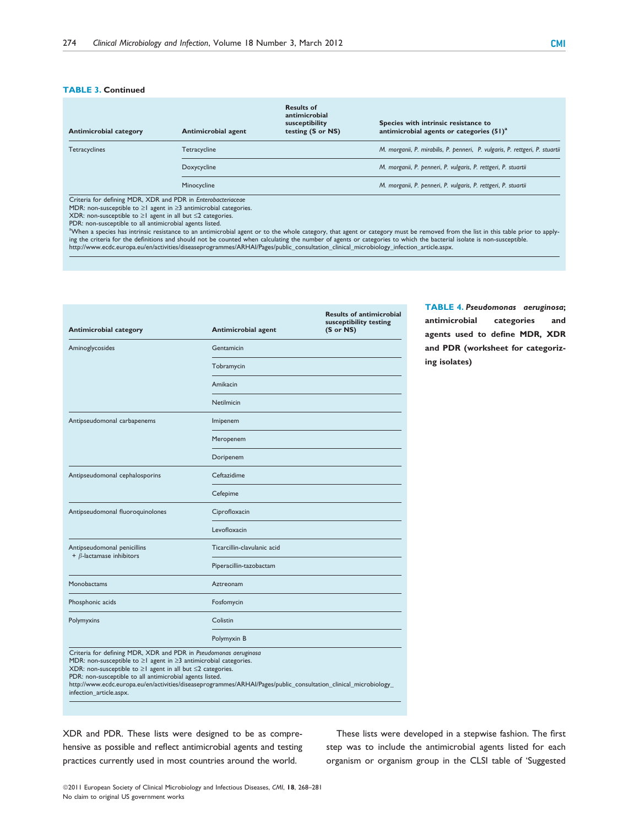# TABLE 3. Continued

| <b>Antimicrobial category</b>                                               | Antimicrobial agent | <b>Results of</b><br>antimicrobial<br>susceptibility<br>testing (S or NS) | Species with intrinsic resistance to<br>antimicrobial agents or categories $(51)^a$ |  |
|-----------------------------------------------------------------------------|---------------------|---------------------------------------------------------------------------|-------------------------------------------------------------------------------------|--|
| <b>Tetracyclines</b>                                                        | Tetracycline        |                                                                           | M. morganii, P. mirabilis, P. penneri, P. vulgaris, P. rettgeri, P. stuartii        |  |
|                                                                             | Doxycycline         |                                                                           | M. morganii, P. penneri, P. vulgaris, P. rettgeri, P. stuartii                      |  |
|                                                                             | Minocycline         |                                                                           | M. morganii, P. penneri, P. vulgaris, P. rettgeri, P. stuartii                      |  |
| $C \subseteq \{x, y, z\}$ is a sumply $N \cap D$ in $D \cap D$ if $x, y, z$ |                     |                                                                           |                                                                                     |  |

Criteria for defining MDR, XDR and PDR in *Enterobacteriaceae*<br>MDR: non-susceptible to ≥1 agent in ≥3 antimicrobial categories.

XDR: non-susceptible to  $\geq 1$  agent in all but  $\leq 2$  categories.

PDR: non-susceptible to all antimicrobial agents listed.

a When a species has intrinsic resistance to an antimicrobial agent or to the whole category, that agent or category must be removed from the list in this table prior to applying the criteria for the definitions and should not be counted when calculating the number of agents or categories to which the bacterial isolate is non-susceptible. http://www.ecdc.europa.eu/en/activities/diseaseprogrammes/ARHAI/Pages/public\_consultation\_clinical\_microbiology\_infection\_article.aspx.

| <b>Antimicrobial category</b>                                                                                                                                                                                                                                                                                                                                                                                                         | <b>Antimicrobial agent</b>  | <b>Results of antimicrobial</b><br>susceptibility testing<br>(S or NS) |  |  |
|---------------------------------------------------------------------------------------------------------------------------------------------------------------------------------------------------------------------------------------------------------------------------------------------------------------------------------------------------------------------------------------------------------------------------------------|-----------------------------|------------------------------------------------------------------------|--|--|
| Aminoglycosides                                                                                                                                                                                                                                                                                                                                                                                                                       | Gentamicin                  |                                                                        |  |  |
|                                                                                                                                                                                                                                                                                                                                                                                                                                       | Tobramycin                  |                                                                        |  |  |
|                                                                                                                                                                                                                                                                                                                                                                                                                                       | Amikacin                    |                                                                        |  |  |
|                                                                                                                                                                                                                                                                                                                                                                                                                                       | <b>Netilmicin</b>           |                                                                        |  |  |
| Antipseudomonal carbapenems                                                                                                                                                                                                                                                                                                                                                                                                           | Imipenem                    |                                                                        |  |  |
|                                                                                                                                                                                                                                                                                                                                                                                                                                       | Meropenem                   |                                                                        |  |  |
|                                                                                                                                                                                                                                                                                                                                                                                                                                       | Doripenem                   |                                                                        |  |  |
| Antipseudomonal cephalosporins                                                                                                                                                                                                                                                                                                                                                                                                        | Ceftazidime                 |                                                                        |  |  |
|                                                                                                                                                                                                                                                                                                                                                                                                                                       | Cefepime                    |                                                                        |  |  |
| Antipseudomonal fluoroquinolones                                                                                                                                                                                                                                                                                                                                                                                                      | Ciprofloxacin               |                                                                        |  |  |
|                                                                                                                                                                                                                                                                                                                                                                                                                                       | Levofloxacin                |                                                                        |  |  |
| Antipseudomonal penicillins                                                                                                                                                                                                                                                                                                                                                                                                           | Ticarcillin-clavulanic acid |                                                                        |  |  |
| + $\beta$ -lactamase inhibitors                                                                                                                                                                                                                                                                                                                                                                                                       | Piperacillin-tazobactam     |                                                                        |  |  |
| Monobactams                                                                                                                                                                                                                                                                                                                                                                                                                           | Aztreonam                   |                                                                        |  |  |
| Phosphonic acids                                                                                                                                                                                                                                                                                                                                                                                                                      | Fosfomycin                  |                                                                        |  |  |
| Polymyxins                                                                                                                                                                                                                                                                                                                                                                                                                            | Colistin                    |                                                                        |  |  |
|                                                                                                                                                                                                                                                                                                                                                                                                                                       | Polymyxin B                 |                                                                        |  |  |
| Criteria for defining MDR, XDR and PDR in Pseudomonas aeruginosa<br>MDR: non-susceptible to $\geq$ l agent in $\geq$ 3 antimicrobial categories.<br>XDR: non-susceptible to $\geq$ l agent in all but $\leq$ 2 categories.<br>PDR: non-susceptible to all antimicrobial agents listed.<br>http://www.ecdc.europa.eu/en/activities/diseaseprogrammes/ARHAI/Pages/public_consultation_clinical_microbiology_<br>infection_article.aspx. |                             |                                                                        |  |  |

TABLE 4. Pseudomonas aeruginosa; antimicrobial categories and agents used to define MDR, XDR and PDR (worksheet for categorizing isolates)

XDR and PDR. These lists were designed to be as comprehensive as possible and reflect antimicrobial agents and testing practices currently used in most countries around the world.

These lists were developed in a stepwise fashion. The first step was to include the antimicrobial agents listed for each organism or organism group in the CLSI table of 'Suggested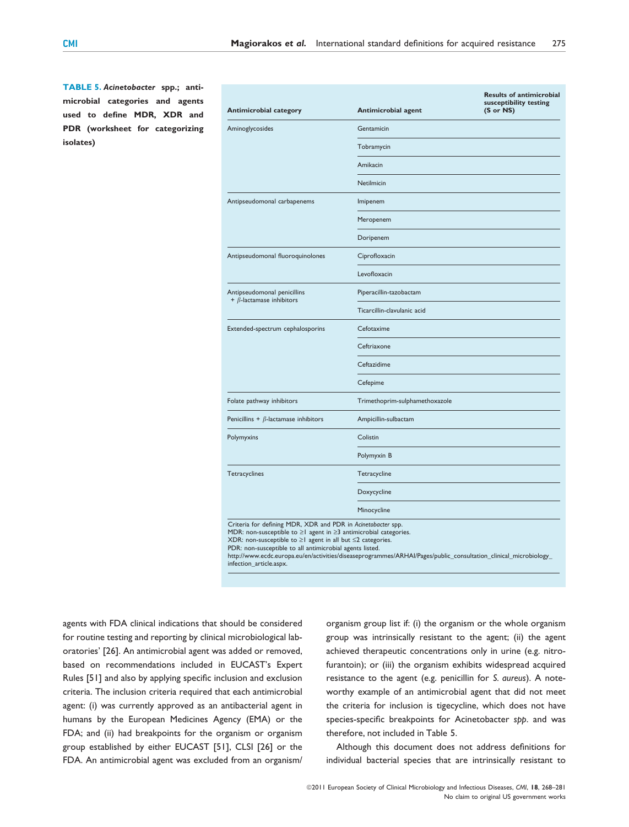TABLE 5. Acinetobacter spp.; antimicrobial categories and agents used to define MDR, XDR and PDR (worksheet for categorizing isolates)

| <b>Antimicrobial category</b>                                                                                                                                                                                                                                                      | <b>Antimicrobial agent</b>                                                                                       | <b>Results of antimicrobial</b><br>susceptibility testing<br>(S or NS) |
|------------------------------------------------------------------------------------------------------------------------------------------------------------------------------------------------------------------------------------------------------------------------------------|------------------------------------------------------------------------------------------------------------------|------------------------------------------------------------------------|
| Aminoglycosides                                                                                                                                                                                                                                                                    | Gentamicin                                                                                                       |                                                                        |
|                                                                                                                                                                                                                                                                                    | Tobramycin                                                                                                       |                                                                        |
|                                                                                                                                                                                                                                                                                    | Amikacin                                                                                                         |                                                                        |
|                                                                                                                                                                                                                                                                                    | Netilmicin                                                                                                       |                                                                        |
| Antipseudomonal carbapenems                                                                                                                                                                                                                                                        | Imipenem                                                                                                         |                                                                        |
|                                                                                                                                                                                                                                                                                    | Meropenem                                                                                                        |                                                                        |
|                                                                                                                                                                                                                                                                                    | Doripenem                                                                                                        |                                                                        |
| Antipseudomonal fluoroquinolones                                                                                                                                                                                                                                                   | Ciprofloxacin                                                                                                    |                                                                        |
|                                                                                                                                                                                                                                                                                    | Levofloxacin                                                                                                     |                                                                        |
| Antipseudomonal penicillins                                                                                                                                                                                                                                                        | Piperacillin-tazobactam                                                                                          |                                                                        |
| + $\beta$ -lactamase inhibitors                                                                                                                                                                                                                                                    | Ticarcillin-clavulanic acid                                                                                      |                                                                        |
| Extended-spectrum cephalosporins                                                                                                                                                                                                                                                   | Cefotaxime                                                                                                       |                                                                        |
|                                                                                                                                                                                                                                                                                    | Ceftriaxone                                                                                                      |                                                                        |
|                                                                                                                                                                                                                                                                                    | Ceftazidime                                                                                                      |                                                                        |
|                                                                                                                                                                                                                                                                                    | Cefepime                                                                                                         |                                                                        |
| Folate pathway inhibitors                                                                                                                                                                                                                                                          | Trimethoprim-sulphamethoxazole                                                                                   |                                                                        |
| Penicillins + $\beta$ -lactamase inhibitors                                                                                                                                                                                                                                        | Ampicillin-sulbactam                                                                                             |                                                                        |
| Polymyxins                                                                                                                                                                                                                                                                         | Colistin                                                                                                         |                                                                        |
|                                                                                                                                                                                                                                                                                    | Polymyxin B                                                                                                      |                                                                        |
| <b>Tetracyclines</b>                                                                                                                                                                                                                                                               | Tetracycline                                                                                                     |                                                                        |
|                                                                                                                                                                                                                                                                                    | Doxycycline                                                                                                      |                                                                        |
|                                                                                                                                                                                                                                                                                    | Minocycline                                                                                                      |                                                                        |
| Criteria for defining MDR, XDR and PDR in Acinetobacter spp.<br>MDR: non-susceptible to $\geq$ l agent in $\geq$ 3 antimicrobial categories.<br>XDR: non-susceptible to $\geq$ l agent in all but $\leq$ 2 categories.<br>PDR: non-susceptible to all antimicrobial agents listed. | http://www.ecdc.europa.eu/en/activities/diseaseprogrammes/ARHAI/Pages/public_consultation_clinical_microbiology_ |                                                                        |

infection\_article.aspx.

agents with FDA clinical indications that should be considered for routine testing and reporting by clinical microbiological laboratories' [26]. An antimicrobial agent was added or removed, based on recommendations included in EUCAST's Expert Rules [51] and also by applying specific inclusion and exclusion criteria. The inclusion criteria required that each antimicrobial agent: (i) was currently approved as an antibacterial agent in humans by the European Medicines Agency (EMA) or the FDA; and (ii) had breakpoints for the organism or organism group established by either EUCAST [51], CLSI [26] or the FDA. An antimicrobial agent was excluded from an organism/

organism group list if: (i) the organism or the whole organism group was intrinsically resistant to the agent; (ii) the agent achieved therapeutic concentrations only in urine (e.g. nitrofurantoin); or (iii) the organism exhibits widespread acquired resistance to the agent (e.g. penicillin for S. aureus). A noteworthy example of an antimicrobial agent that did not meet the criteria for inclusion is tigecycline, which does not have species-specific breakpoints for Acinetobacter spp. and was therefore, not included in Table 5.

Although this document does not address definitions for individual bacterial species that are intrinsically resistant to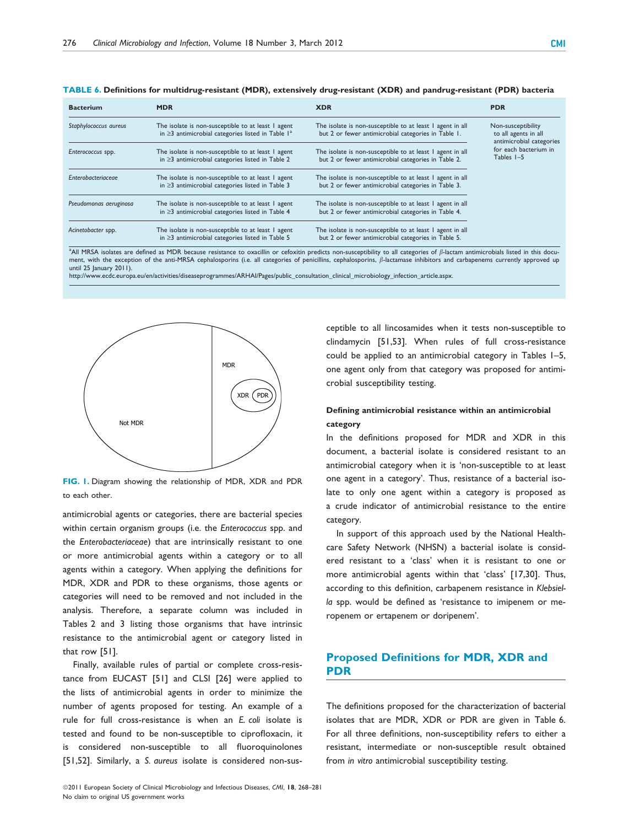| <b>Bacterium</b>                                                                                                                  | <b>MDR</b>                                                                                                       | <b>XDR</b>                                                                                                       | <b>PDR</b>                                                             |
|-----------------------------------------------------------------------------------------------------------------------------------|------------------------------------------------------------------------------------------------------------------|------------------------------------------------------------------------------------------------------------------|------------------------------------------------------------------------|
| Staphylococcus aureus                                                                                                             | The isolate is non-susceptible to at least I agent<br>in $\geq$ 3 antimicrobial categories listed in Table $I^a$ | The isolate is non-susceptible to at least I agent in all<br>but 2 or fewer antimicrobial categories in Table 1. | Non-susceptibility<br>to all agents in all<br>antimicrobial categories |
| The isolate is non-susceptible to at least I agent<br>Enterococcus spp.<br>in $\geq$ 3 antimicrobial categories listed in Table 2 |                                                                                                                  | The isolate is non-susceptible to at least I agent in all<br>but 2 or fewer antimicrobial categories in Table 2. | for each bacterium in<br>Tables 1-5                                    |
| Enterobacteriaceae                                                                                                                | The isolate is non-susceptible to at least I agent<br>in $\geq$ 3 antimicrobial categories listed in Table 3     | The isolate is non-susceptible to at least I agent in all<br>but 2 or fewer antimicrobial categories in Table 3. |                                                                        |
| Pseudomonas aeruginosa                                                                                                            | The isolate is non-susceptible to at least I agent<br>in $\geq$ 3 antimicrobial categories listed in Table 4     | The isolate is non-susceptible to at least I agent in all<br>but 2 or fewer antimicrobial categories in Table 4. |                                                                        |
| Acinetobacter spp.                                                                                                                | The isolate is non-susceptible to at least I agent<br>in $\geq$ 3 antimicrobial categories listed in Table 5     | The isolate is non-susceptible to at least I agent in all<br>but 2 or fewer antimicrobial categories in Table 5. |                                                                        |

TABLE 6. Definitions for multidrug-resistant (MDR), extensively drug-resistant (XDR) and pandrug-resistant (PDR) bacteria

<sup>a</sup>All MRSA isolates are defined as MDR because resistance to oxacillin or cefoxitin predicts non-susceptibility to all categories of  $\beta$ -lactam antimicrobials listed in this document, with the exception of the anti-MRSA cephalosporins (i.e. all categories of penicillins, cephalosporins,  $\beta$ -lactamase inhibitors and carbapenems currently approved up until 25 January 2011).

http://www.ecdc.europa.eu/en/activities/diseaseprogrammes/ARHAI/Pages/public\_consultation\_clinical\_microbiology\_infection\_article.aspx.



FIG. 1. Diagram showing the relationship of MDR, XDR and PDR to each other.

antimicrobial agents or categories, there are bacterial species within certain organism groups (i.e. the Enterococcus spp. and the Enterobacteriaceae) that are intrinsically resistant to one or more antimicrobial agents within a category or to all agents within a category. When applying the definitions for MDR, XDR and PDR to these organisms, those agents or categories will need to be removed and not included in the analysis. Therefore, a separate column was included in Tables 2 and 3 listing those organisms that have intrinsic resistance to the antimicrobial agent or category listed in that row [51].

Finally, available rules of partial or complete cross-resistance from EUCAST [51] and CLSI [26] were applied to the lists of antimicrobial agents in order to minimize the number of agents proposed for testing. An example of a rule for full cross-resistance is when an E. coli isolate is tested and found to be non-susceptible to ciprofloxacin, it is considered non-susceptible to all fluoroquinolones [51,52]. Similarly, a S. aureus isolate is considered non-susceptible to all lincosamides when it tests non-susceptible to clindamycin [51,53]. When rules of full cross-resistance could be applied to an antimicrobial category in Tables 1–5, one agent only from that category was proposed for antimicrobial susceptibility testing.

# Defining antimicrobial resistance within an antimicrobial category

In the definitions proposed for MDR and XDR in this document, a bacterial isolate is considered resistant to an antimicrobial category when it is 'non-susceptible to at least one agent in a category'. Thus, resistance of a bacterial isolate to only one agent within a category is proposed as a crude indicator of antimicrobial resistance to the entire category.

In support of this approach used by the National Healthcare Safety Network (NHSN) a bacterial isolate is considered resistant to a 'class' when it is resistant to one or more antimicrobial agents within that 'class' [17,30]. Thus, according to this definition, carbapenem resistance in Klebsiella spp. would be defined as 'resistance to imipenem or meropenem or ertapenem or doripenem'.

# Proposed Definitions for MDR, XDR and PDR

The definitions proposed for the characterization of bacterial isolates that are MDR, XDR or PDR are given in Table 6. For all three definitions, non-susceptibility refers to either a resistant, intermediate or non-susceptible result obtained from in vitro antimicrobial susceptibility testing.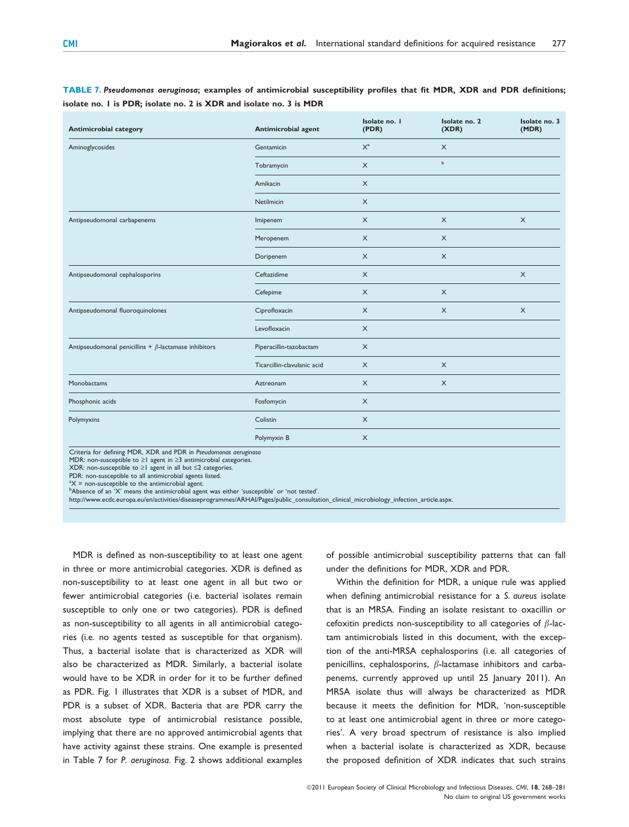| <b>Antimicrobial category</b>                               | <b>Antimicrobial agent</b>  | Isolate no. I<br>(PDF) | Isolate no. 2<br>(XDR) | Isolate no. 3<br>(MDR)    |
|-------------------------------------------------------------|-----------------------------|------------------------|------------------------|---------------------------|
| Aminoglycosides                                             | Gentamicin                  | $X^a$                  | $\times$               |                           |
|                                                             | Tobramycin                  | X                      | Ь                      |                           |
|                                                             | Amikacin                    | $\times$               |                        |                           |
|                                                             | Netilmicin                  | $\times$               |                        |                           |
| Antipseudomonal carbapenems                                 | Imipenem                    | $\times$               | $\times$               | $\times$                  |
|                                                             | Meropenem                   | $\times$               | $\times$               |                           |
|                                                             | Doripenem                   | X                      | $\times$               |                           |
| Antipseudomonal cephalosporins                              | Ceftazidime                 | $\mathsf X$            |                        | $\boldsymbol{\mathsf{X}}$ |
|                                                             | Cefepime                    | X                      | $\times$               |                           |
| Antipseudomonal fluoroquinolones                            | Ciprofloxacin               | X                      | $\times$               | $\times$                  |
|                                                             | Levofloxacin                | X                      |                        |                           |
| Antipseudomonal penicillins + $\beta$ -lactamase inhibitors | Piperacillin-tazobactam     | X                      |                        |                           |
|                                                             | Ticarcillin-clavulanic acid | $\times$               | $\times$               |                           |
| Monobactams                                                 | Aztreonam                   | $\times$               | $\mathsf X$            |                           |
| Phosphonic acids                                            | Fosfomycin                  | $\times$               |                        |                           |
| Polymyxins                                                  | Colistin                    | $\mathsf X$            |                        |                           |
|                                                             | Polymyxin B                 | X                      |                        |                           |

TABLE 7. Pseudomonas aeruginosa; examples of antimicrobial susceptibility profiles that fit MDR, XDR and PDR definitions; isolate no. 1 is PDR; isolate no. 2 is XDR and isolate no. 3 is MDR

Criteria for defining MDR, XDR and PDR in Pseudomonas aeruginosa

MDR: non-susceptible to  $\geq 1$  agent in  $\geq 3$  antimicrobial categories. XDR: non-susceptible to  $\geq 1$  agent in all but  $\leq 2$  categories.

PDR: non-susceptible to all antimicrobial agents listed.

 $A^2X$  = non-susceptible to the antimicrobial agent.

bAbsence of an 'X' means the antimicrobial agent was either 'susceptible' or 'not tested'.

http://www.ecdc.europa.eu/en/activities/diseaseprogrammes/ARHAI/Pages/public\_consultation\_clinical\_microbiology\_infection\_article.aspx.

MDR is defined as non-susceptibility to at least one agent in three or more antimicrobial categories. XDR is defined as non-susceptibility to at least one agent in all but two or fewer antimicrobial categories (i.e. bacterial isolates remain susceptible to only one or two categories). PDR is defined as non-susceptibility to all agents in all antimicrobial categories (i.e. no agents tested as susceptible for that organism). Thus, a bacterial isolate that is characterized as XDR will also be characterized as MDR. Similarly, a bacterial isolate would have to be XDR in order for it to be further defined as PDR. Fig. 1 illustrates that XDR is a subset of MDR, and PDR is a subset of XDR. Bacteria that are PDR carry the most absolute type of antimicrobial resistance possible, implying that there are no approved antimicrobial agents that have activity against these strains. One example is presented in Table 7 for P. aeruginosa. Fig. 2 shows additional examples

of possible antimicrobial susceptibility patterns that can fall under the definitions for MDR, XDR and PDR.

Within the definition for MDR, a unique rule was applied when defining antimicrobial resistance for a S. aureus isolate that is an MRSA. Finding an isolate resistant to oxacillin or cefoxitin predicts non-susceptibility to all categories of  $\beta$ -lactam antimicrobials listed in this document, with the exception of the anti-MRSA cephalosporins (i.e. all categories of penicillins, cephalosporins,  $\beta$ -lactamase inhibitors and carbapenems, currently approved up until 25 January 2011). An MRSA isolate thus will always be characterized as MDR because it meets the definition for MDR, 'non-susceptible to at least one antimicrobial agent in three or more categories'. A very broad spectrum of resistance is also implied when a bacterial isolate is characterized as XDR, because the proposed definition of XDR indicates that such strains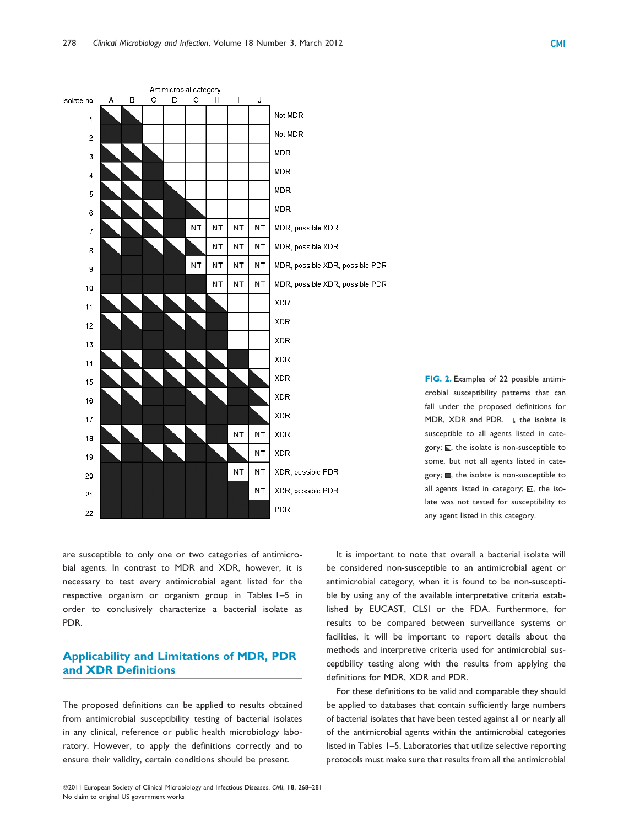

FIG. 2. Examples of 22 possible antimicrobial susceptibility patterns that can fall under the proposed definitions for MDR, XDR and PDR.  $\Box$ , the isolate is susceptible to all agents listed in category;  $\Box$ , the isolate is non-susceptible to some, but not all agents listed in category;  $\blacksquare$ , the isolate is non-susceptible to all agents listed in category;  $m$ , the isolate was not tested for susceptibility to any agent listed in this category.

are susceptible to only one or two categories of antimicrobial agents. In contrast to MDR and XDR, however, it is necessary to test every antimicrobial agent listed for the respective organism or organism group in Tables 1–5 in order to conclusively characterize a bacterial isolate as PDR.

# Applicability and Limitations of MDR, PDR and XDR Definitions

The proposed definitions can be applied to results obtained from antimicrobial susceptibility testing of bacterial isolates in any clinical, reference or public health microbiology laboratory. However, to apply the definitions correctly and to ensure their validity, certain conditions should be present.

It is important to note that overall a bacterial isolate will be considered non-susceptible to an antimicrobial agent or antimicrobial category, when it is found to be non-susceptible by using any of the available interpretative criteria established by EUCAST, CLSI or the FDA. Furthermore, for results to be compared between surveillance systems or facilities, it will be important to report details about the methods and interpretive criteria used for antimicrobial susceptibility testing along with the results from applying the definitions for MDR, XDR and PDR.

For these definitions to be valid and comparable they should be applied to databases that contain sufficiently large numbers of bacterial isolates that have been tested against all or nearly all of the antimicrobial agents within the antimicrobial categories listed in Tables 1–5. Laboratories that utilize selective reporting protocols must make sure that results from all the antimicrobial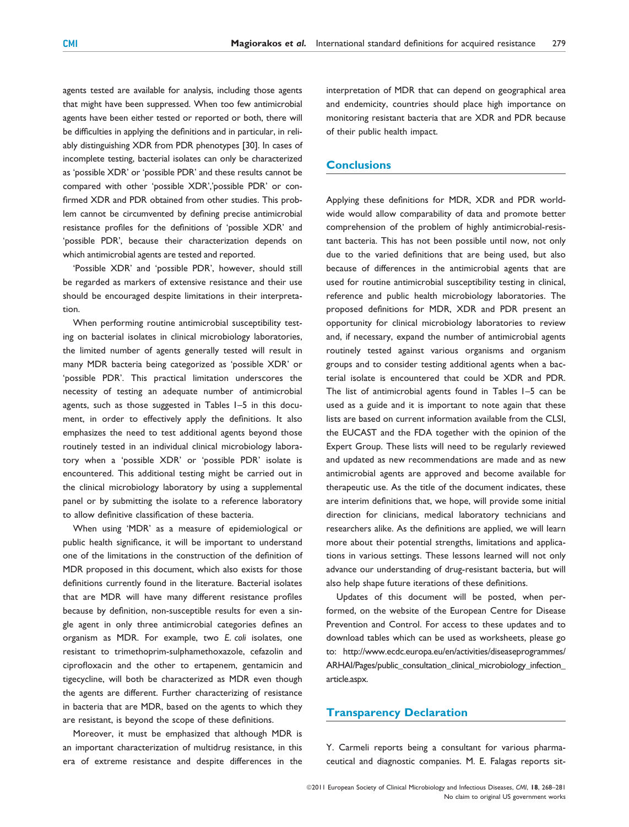agents tested are available for analysis, including those agents that might have been suppressed. When too few antimicrobial agents have been either tested or reported or both, there will be difficulties in applying the definitions and in particular, in reliably distinguishing XDR from PDR phenotypes [30]. In cases of incomplete testing, bacterial isolates can only be characterized as 'possible XDR' or 'possible PDR' and these results cannot be compared with other 'possible XDR','possible PDR' or confirmed XDR and PDR obtained from other studies. This problem cannot be circumvented by defining precise antimicrobial resistance profiles for the definitions of 'possible XDR' and 'possible PDR', because their characterization depends on which antimicrobial agents are tested and reported.

'Possible XDR' and 'possible PDR', however, should still be regarded as markers of extensive resistance and their use should be encouraged despite limitations in their interpretation.

When performing routine antimicrobial susceptibility testing on bacterial isolates in clinical microbiology laboratories, the limited number of agents generally tested will result in many MDR bacteria being categorized as 'possible XDR' or 'possible PDR'. This practical limitation underscores the necessity of testing an adequate number of antimicrobial agents, such as those suggested in Tables 1–5 in this document, in order to effectively apply the definitions. It also emphasizes the need to test additional agents beyond those routinely tested in an individual clinical microbiology laboratory when a 'possible XDR' or 'possible PDR' isolate is encountered. This additional testing might be carried out in the clinical microbiology laboratory by using a supplemental panel or by submitting the isolate to a reference laboratory to allow definitive classification of these bacteria.

When using 'MDR' as a measure of epidemiological or public health significance, it will be important to understand one of the limitations in the construction of the definition of MDR proposed in this document, which also exists for those definitions currently found in the literature. Bacterial isolates that are MDR will have many different resistance profiles because by definition, non-susceptible results for even a single agent in only three antimicrobial categories defines an organism as MDR. For example, two E. coli isolates, one resistant to trimethoprim-sulphamethoxazole, cefazolin and ciprofloxacin and the other to ertapenem, gentamicin and tigecycline, will both be characterized as MDR even though the agents are different. Further characterizing of resistance in bacteria that are MDR, based on the agents to which they are resistant, is beyond the scope of these definitions.

Moreover, it must be emphasized that although MDR is an important characterization of multidrug resistance, in this era of extreme resistance and despite differences in the

interpretation of MDR that can depend on geographical area and endemicity, countries should place high importance on monitoring resistant bacteria that are XDR and PDR because of their public health impact.

# **Conclusions**

Applying these definitions for MDR, XDR and PDR worldwide would allow comparability of data and promote better comprehension of the problem of highly antimicrobial-resistant bacteria. This has not been possible until now, not only due to the varied definitions that are being used, but also because of differences in the antimicrobial agents that are used for routine antimicrobial susceptibility testing in clinical, reference and public health microbiology laboratories. The proposed definitions for MDR, XDR and PDR present an opportunity for clinical microbiology laboratories to review and, if necessary, expand the number of antimicrobial agents routinely tested against various organisms and organism groups and to consider testing additional agents when a bacterial isolate is encountered that could be XDR and PDR. The list of antimicrobial agents found in Tables 1–5 can be used as a guide and it is important to note again that these lists are based on current information available from the CLSI, the EUCAST and the FDA together with the opinion of the Expert Group. These lists will need to be regularly reviewed and updated as new recommendations are made and as new antimicrobial agents are approved and become available for therapeutic use. As the title of the document indicates, these are interim definitions that, we hope, will provide some initial direction for clinicians, medical laboratory technicians and researchers alike. As the definitions are applied, we will learn more about their potential strengths, limitations and applications in various settings. These lessons learned will not only advance our understanding of drug-resistant bacteria, but will also help shape future iterations of these definitions.

Updates of this document will be posted, when performed, on the website of the European Centre for Disease Prevention and Control. For access to these updates and to download tables which can be used as worksheets, please go to: http://www.ecdc.europa.eu/en/activities/diseaseprogrammes/ ARHAI/Pages/public\_consultation\_clinical\_microbiology\_infection\_ article.aspx.

# Transparency Declaration

Y. Carmeli reports being a consultant for various pharmaceutical and diagnostic companies. M. E. Falagas reports sit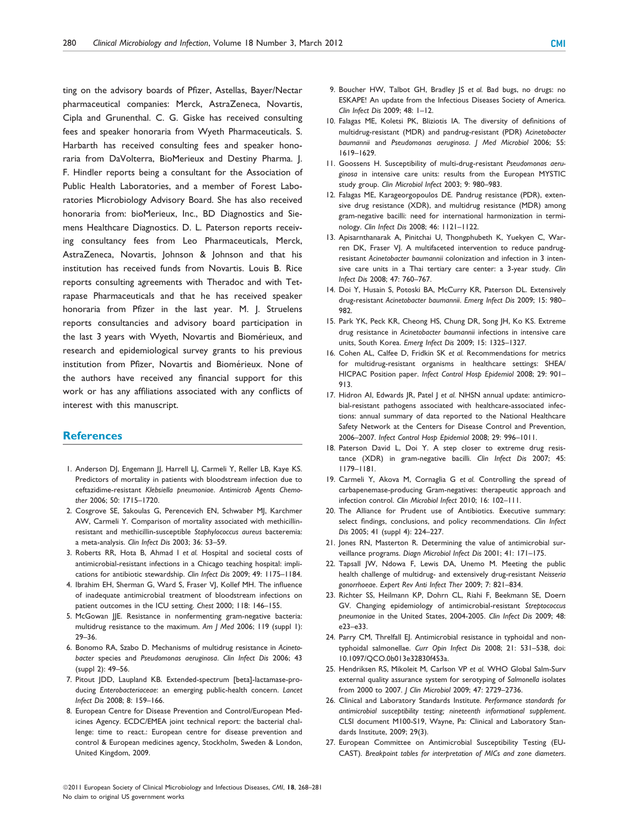ting on the advisory boards of Pfizer, Astellas, Bayer/Nectar pharmaceutical companies: Merck, AstraZeneca, Novartis, Cipla and Grunenthal. C. G. Giske has received consulting fees and speaker honoraria from Wyeth Pharmaceuticals. S. Harbarth has received consulting fees and speaker honoraria from DaVolterra, BioMerieux and Destiny Pharma. J. F. Hindler reports being a consultant for the Association of Public Health Laboratories, and a member of Forest Laboratories Microbiology Advisory Board. She has also received honoraria from: bioMerieux, Inc., BD Diagnostics and Siemens Healthcare Diagnostics. D. L. Paterson reports receiving consultancy fees from Leo Pharmaceuticals, Merck, AstraZeneca, Novartis, Johnson & Johnson and that his institution has received funds from Novartis. Louis B. Rice reports consulting agreements with Theradoc and with Tetrapase Pharmaceuticals and that he has received speaker honoraria from Pfizer in the last year. M. J. Struelens reports consultancies and advisory board participation in the last 3 years with Wyeth, Novartis and Biomérieux, and research and epidemiological survey grants to his previous institution from Pfizer, Novartis and Biomérieux. None of the authors have received any financial support for this work or has any affiliations associated with any conflicts of interest with this manuscript.

# **References**

- 1. Anderson DJ, Engemann JJ, Harrell LJ, Carmeli Y, Reller LB, Kaye KS. Predictors of mortality in patients with bloodstream infection due to ceftazidime-resistant Klebsiella pneumoniae. Antimicrob Agents Chemother 2006; 50: 1715–1720.
- 2. Cosgrove SE, Sakoulas G, Perencevich EN, Schwaber MJ, Karchmer AW, Carmeli Y. Comparison of mortality associated with methicillinresistant and methicillin-susceptible Staphylococcus aureus bacteremia: a meta-analysis. Clin Infect Dis 2003; 36: 53–59.
- 3. Roberts RR, Hota B, Ahmad I et al. Hospital and societal costs of antimicrobial-resistant infections in a Chicago teaching hospital: implications for antibiotic stewardship. Clin Infect Dis 2009; 49: 1175–1184.
- 4. Ibrahim EH, Sherman G, Ward S, Fraser VJ, Kollef MH. The influence of inadequate antimicrobial treatment of bloodstream infections on patient outcomes in the ICU setting. Chest 2000; 118: 146–155.
- 5. McGowan JJE. Resistance in nonfermenting gram-negative bacteria: multidrug resistance to the maximum. Am J Med 2006; 119 (suppl 1): 29–36.
- 6. Bonomo RA, Szabo D. Mechanisms of multidrug resistance in Acinetobacter species and Pseudomonas aeruginosa. Clin Infect Dis 2006; 43 (suppl 2): 49–56.
- 7. Pitout JDD, Laupland KB. Extended-spectrum [beta]-lactamase-producing Enterobacteriaceae: an emerging public-health concern. Lancet Infect Dis 2008; 8: 159–166.
- 8. European Centre for Disease Prevention and Control/European Medicines Agency. ECDC/EMEA joint technical report: the bacterial challenge: time to react.: European centre for disease prevention and control & European medicines agency, Stockholm, Sweden & London, United Kingdom, 2009.
- 9. Boucher HW, Talbot GH, Bradley JS et al. Bad bugs, no drugs: no ESKAPE! An update from the Infectious Diseases Society of America. Clin Infect Dis 2009; 48: 1–12.
- 10. Falagas ME, Koletsi PK, Bliziotis IA. The diversity of definitions of multidrug-resistant (MDR) and pandrug-resistant (PDR) Acinetobacter baumannii and Pseudomonas aeruginosa. J Med Microbiol 2006; 55: 1619–1629.
- 11. Goossens H. Susceptibility of multi-drug-resistant Pseudomonas aeruginosa in intensive care units: results from the European MYSTIC study group. Clin Microbiol Infect 2003; 9: 980–983.
- 12. Falagas ME, Karageorgopoulos DE. Pandrug resistance (PDR), extensive drug resistance (XDR), and multidrug resistance (MDR) among gram-negative bacilli: need for international harmonization in terminology. Clin Infect Dis 2008; 46: 1121–1122.
- 13. Apisarnthanarak A, Pinitchai U, Thongphubeth K, Yuekyen C, Warren DK, Fraser VJ. A multifaceted intervention to reduce pandrugresistant Acinetobacter baumannii colonization and infection in 3 intensive care units in a Thai tertiary care center: a 3-year study. Clin Infect Dis 2008; 47: 760–767.
- 14. Doi Y, Husain S, Potoski BA, McCurry KR, Paterson DL. Extensively drug-resistant Acinetobacter baumannii. Emerg Infect Dis 2009; 15: 980– 982.
- 15. Park YK, Peck KR, Cheong HS, Chung DR, Song JH, Ko KS. Extreme drug resistance in Acinetobacter baumannii infections in intensive care units, South Korea. Emerg Infect Dis 2009; 15: 1325–1327.
- 16. Cohen AL, Calfee D, Fridkin SK et al. Recommendations for metrics for multidrug-resistant organisms in healthcare settings: SHEA/ HICPAC Position paper. Infect Control Hosp Epidemiol 2008; 29: 901– 913.
- 17. Hidron AI, Edwards JR, Patel J et al. NHSN annual update: antimicrobial-resistant pathogens associated with healthcare-associated infections: annual summary of data reported to the National Healthcare Safety Network at the Centers for Disease Control and Prevention, 2006–2007. Infect Control Hosp Epidemiol 2008; 29: 996–1011.
- 18. Paterson David L, Doi Y. A step closer to extreme drug resistance (XDR) in gram-negative bacilli. Clin Infect Dis 2007; 45: 1179–1181.
- 19. Carmeli Y, Akova M, Cornaglia G et al. Controlling the spread of carbapenemase-producing Gram-negatives: therapeutic approach and infection control. Clin Microbiol Infect 2010; 16: 102–111.
- 20. The Alliance for Prudent use of Antibiotics. Executive summary: select findings, conclusions, and policy recommendations. Clin Infect Dis 2005; 41 (suppl 4): 224–227.
- 21. Jones RN, Masterton R. Determining the value of antimicrobial surveillance programs. Diagn Microbiol Infect Dis 2001; 41: 171–175.
- 22. Tapsall JW, Ndowa F, Lewis DA, Unemo M. Meeting the public health challenge of multidrug- and extensively drug-resistant Neisseria gonorrhoeae. Expert Rev Anti Infect Ther 2009; 7: 821–834.
- 23. Richter SS, Heilmann KP, Dohrn CL, Riahi F, Beekmann SE, Doern GV. Changing epidemiology of antimicrobial-resistant Streptococcus pneumoniae in the United States, 2004-2005. Clin Infect Dis 2009; 48: e23–e33.
- 24. Parry CM, Threlfall EJ. Antimicrobial resistance in typhoidal and nontyphoidal salmonellae. Curr Opin Infect Dis 2008; 21: 531–538, doi: 10.1097/QCO.0b013e32830f453a.
- 25. Hendriksen RS, Mikoleit M, Carlson VP et al. WHO Global Salm-Surv external quality assurance system for serotyping of Salmonella isolates from 2000 to 2007. J Clin Microbiol 2009; 47: 2729–2736.
- 26. Clinical and Laboratory Standards Institute. Performance standards for antimicrobial susceptibility testing; nineteenth informational supplement. CLSI document M100-S19, Wayne, Pa: Clinical and Laboratory Standards Institute, 2009; 29(3).
- 27. European Committee on Antimicrobial Susceptibility Testing (EU-CAST). Breakpoint tables for interpretation of MICs and zone diameters.